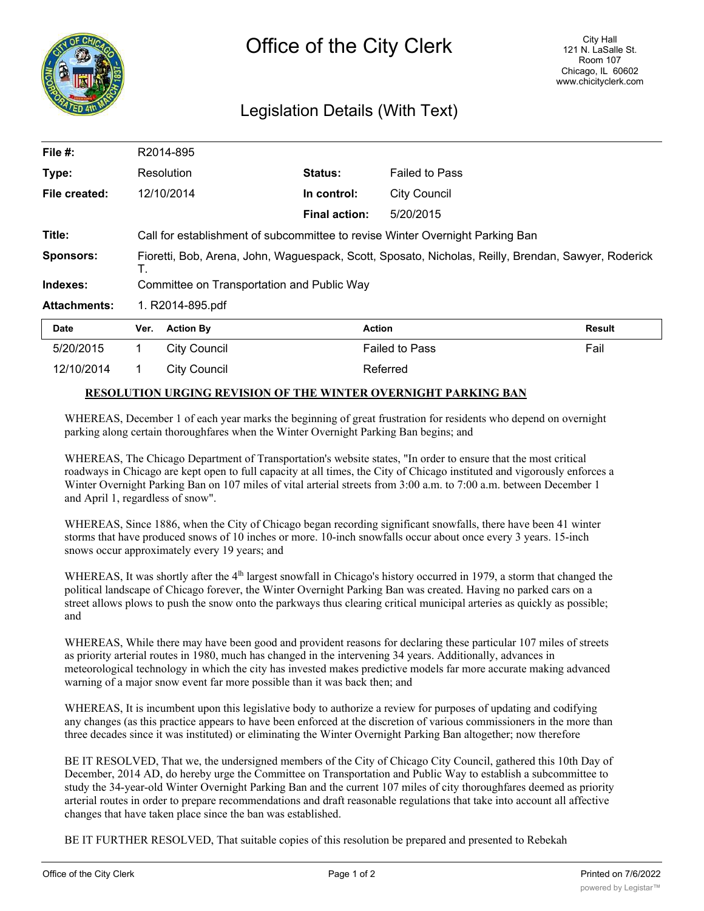

## Legislation Details (With Text)

| File #:             |                                                                                                           | R2014-895           |                      |                       |        |
|---------------------|-----------------------------------------------------------------------------------------------------------|---------------------|----------------------|-----------------------|--------|
| Type:               |                                                                                                           | Resolution          | Status:              | <b>Failed to Pass</b> |        |
| File created:       |                                                                                                           | 12/10/2014          | In control:          | <b>City Council</b>   |        |
|                     |                                                                                                           |                     | <b>Final action:</b> | 5/20/2015             |        |
| Title:              | Call for establishment of subcommittee to revise Winter Overnight Parking Ban                             |                     |                      |                       |        |
| <b>Sponsors:</b>    | Fioretti, Bob, Arena, John, Waguespack, Scott, Sposato, Nicholas, Reilly, Brendan, Sawyer, Roderick<br>Τ. |                     |                      |                       |        |
| Indexes:            | Committee on Transportation and Public Way                                                                |                     |                      |                       |        |
| <b>Attachments:</b> | 1. R2014-895.pdf                                                                                          |                     |                      |                       |        |
| <b>Date</b>         | Ver.                                                                                                      | <b>Action By</b>    | <b>Action</b>        |                       | Result |
| 5/20/2015           | 1                                                                                                         | <b>City Council</b> |                      | <b>Failed to Pass</b> | Fail   |

## **RESOLUTION URGING REVISION OF THE WINTER OVERNIGHT PARKING BAN**

12/10/2014 1 City Council 12/10/2014 Referred

WHEREAS, December 1 of each year marks the beginning of great frustration for residents who depend on overnight parking along certain thoroughfares when the Winter Overnight Parking Ban begins; and

WHEREAS, The Chicago Department of Transportation's website states, "In order to ensure that the most critical roadways in Chicago are kept open to full capacity at all times, the City of Chicago instituted and vigorously enforces a Winter Overnight Parking Ban on 107 miles of vital arterial streets from 3:00 a.m. to 7:00 a.m. between December 1 and April 1, regardless of snow".

WHEREAS, Since 1886, when the City of Chicago began recording significant snowfalls, there have been 41 winter storms that have produced snows of 10 inches or more. 10-inch snowfalls occur about once every 3 years. 15-inch snows occur approximately every 19 years; and

WHEREAS, It was shortly after the 4<sup>th</sup> largest snowfall in Chicago's history occurred in 1979, a storm that changed the political landscape of Chicago forever, the Winter Overnight Parking Ban was created. Having no parked cars on a street allows plows to push the snow onto the parkways thus clearing critical municipal arteries as quickly as possible; and

WHEREAS, While there may have been good and provident reasons for declaring these particular 107 miles of streets as priority arterial routes in 1980, much has changed in the intervening 34 years. Additionally, advances in meteorological technology in which the city has invested makes predictive models far more accurate making advanced warning of a major snow event far more possible than it was back then; and

WHEREAS, It is incumbent upon this legislative body to authorize a review for purposes of updating and codifying any changes (as this practice appears to have been enforced at the discretion of various commissioners in the more than three decades since it was instituted) or eliminating the Winter Overnight Parking Ban altogether; now therefore

BE IT RESOLVED, That we, the undersigned members of the City of Chicago City Council, gathered this 10th Day of December, 2014 AD, do hereby urge the Committee on Transportation and Public Way to establish a subcommittee to study the 34-year-old Winter Overnight Parking Ban and the current 107 miles of city thoroughfares deemed as priority arterial routes in order to prepare recommendations and draft reasonable regulations that take into account all affective changes that have taken place since the ban was established.

BE IT FURTHER RESOLVED, That suitable copies of this resolution be prepared and presented to Rebekah